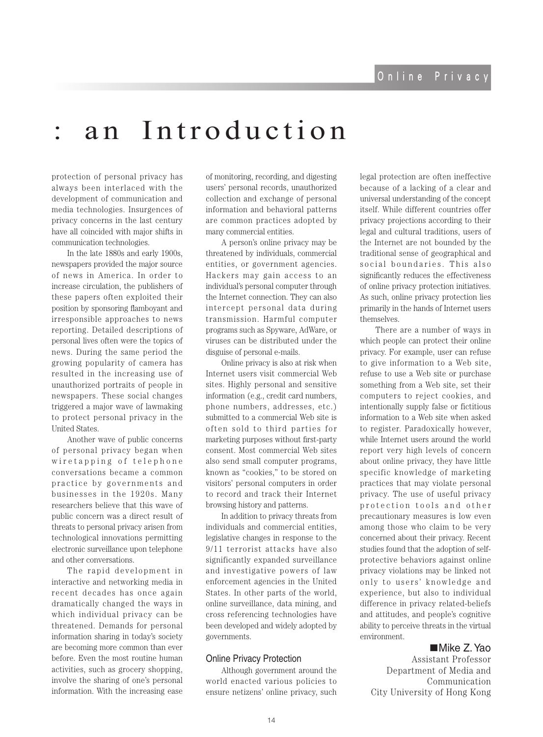## an Introduction

protection of personal privacy has always been interlaced with the development of communication and media technologies. Insurgences of privacy concerns in the last century have all coincided with major shifts in communication technologies.

In the late 1880s and early 1900s, newspapers provided the major source of news in America. In order to increase circulation, the publishers of these papers often exploited their position by sponsoring flamboyant and irresponsible approaches to news reporting. Detailed descriptions of personal lives often were the topics of news. During the same period the growing popularity of camera has resulted in the increasing use of unauthorized portraits of people in newspapers. These social changes triggered a major wave of lawmaking to protect personal privacy in the United States.

Another wave of public concerns of personal privacy began when wire tapping of telephone conversations became a common practice by governments and businesses in the 1920s. Many researchers believe that this wave of public concern was a direct result of threats to personal privacy arisen from technological innovations permitting electronic surveillance upon telephone and other conversations.

The rapid development in interactive and networking media in recent decades has once again dramatically changed the ways in which individual privacy can be threatened. Demands for personal information sharing in today's society are becoming more common than ever before. Even the most routine human activities, such as grocery shopping, involve the sharing of one's personal information. With the increasing ease of monitoring, recording, and digesting users' personal records, unauthorized collection and exchange of personal information and behavioral patterns are common practices adopted by many commercial entities.

A person's online privacy may be threatened by individuals, commercial entities, or government agencies. Hackers may gain access to an individual's personal computer through the Internet connection. They can also intercept personal data during transmission. Harmful computer programs such as Spyware, AdWare, or viruses can be distributed under the disguise of personal e-mails.

Online privacy is also at risk when Internet users visit commercial Web sites. Highly personal and sensitive information (e.g., credit card numbers, phone numbers, addresses, etc.) submitted to a commercial Web site is often sold to third parties for marketing purposes without first-party consent. Most commercial Web sites also send small computer programs, known as "cookies," to be stored on visitors' personal computers in order to record and track their Internet browsing history and patterns.

In addition to privacy threats from individuals and commercial entities, legislative changes in response to the 9/11 terrorist attacks have also significantly expanded surveillance and investigative powers of law enforcement agencies in the United States. In other parts of the world, online surveillance, data mining, and cross referencing technologies have been developed and widely adopted by .governments

### **Online Privacy Protection**

Although government around the world enacted various policies to ensure netizens' online privacy, such legal protection are often ineffective because of a lacking of a clear and universal understanding of the concept itself. While different countries offer privacy projections according to their legal and cultural traditions, users of the Internet are not bounded by the traditional sense of geographical and social boundaries. This also significantly reduces the effectiveness of online privacy protection initiatives. As such, online privacy protection lies primarily in the hands of Internet users themselves.

There are a number of ways in which people can protect their online privacy. For example, user can refuse to give information to a Web site, refuse to use a Web site or purchase something from a Web site, set their computers to reject cookies, and intentionally supply false or fictitious information to a Web site when asked to register. Paradoxically however, while Internet users around the world report very high levels of concern about online privacy, they have little specific knowledge of marketing practices that may violate personal privacy. The use of useful privacy protection tools and other precautionary measures is low even among those who claim to be very concerned about their privacy. Recent protective behaviors against online studies found that the adoption of selfprivacy violations may be linked not only to users' knowledge and experience, but also to individual difference in privacy related-beliefs and attitudes, and people's cognitive ability to perceive threats in the virtual .environment

## ■Mike Z. Yao

Assistant Professor Department of Media and Communication City University of Hong Kong